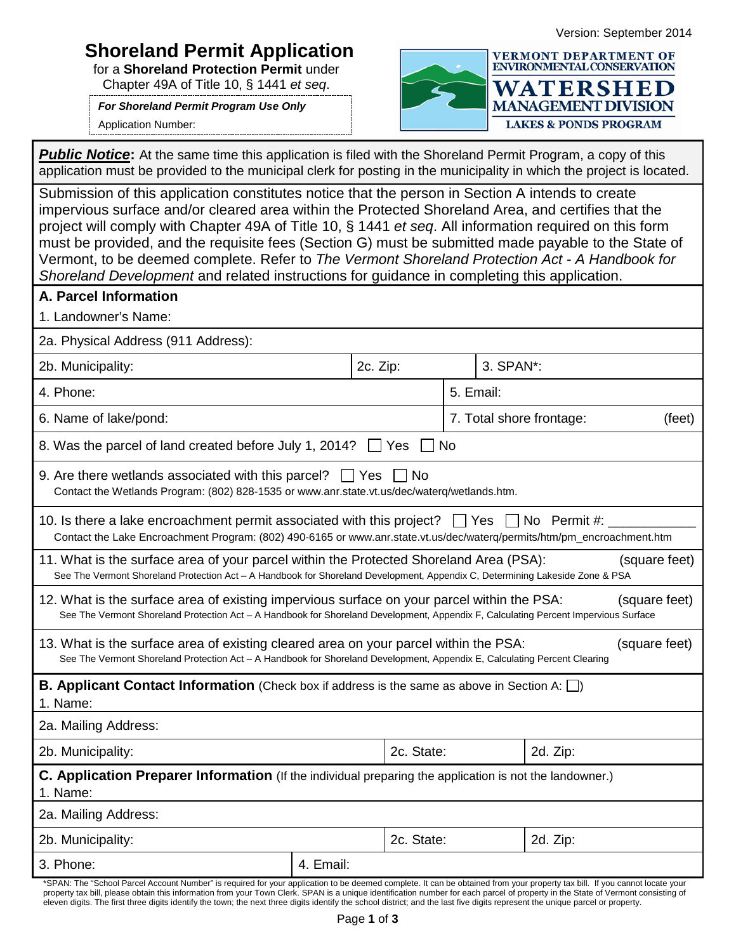## Version: September 2014

## **Shoreland Permit Application**

for a **Shoreland Protection Permit** under Chapter 49A of Title 10, § 1441 *et seq*.

*For Shoreland Permit Program Use Only*

Application Number:



**Public Notice:** At the same time this application is filed with the Shoreland Permit Program, a copy of this application must be provided to the municipal clerk for posting in the municipality in which the project is located.

Submission of this application constitutes notice that the person in Section A intends to create impervious surface and/or cleared area within the Protected Shoreland Area, and certifies that the project will comply with Chapter 49A of Title 10, § 1441 *et seq*. All information required on this form must be provided, and the requisite fees (Section G) must be submitted made payable to the State of Vermont, to be deemed complete. Refer to *[The Vermont Shoreland Protection Act -](http://www.anr.state.vt.us/dec/waterq/lakes/docs/shoreland/lp_ShorelandHandbook.pdf%23zoom=100) A Handbook for [Shoreland Development](http://www.anr.state.vt.us/dec/waterq/lakes/docs/shoreland/lp_ShorelandHandbook.pdf%23zoom=100)* and related instructions for guidance in completing this application.

| onoreland Development and related instructions for guidance in completing this application.                                                                                                                                                        |           |            |                                    |          |  |  |
|----------------------------------------------------------------------------------------------------------------------------------------------------------------------------------------------------------------------------------------------------|-----------|------------|------------------------------------|----------|--|--|
| A. Parcel Information                                                                                                                                                                                                                              |           |            |                                    |          |  |  |
| 1. Landowner's Name:                                                                                                                                                                                                                               |           |            |                                    |          |  |  |
| 2a. Physical Address (911 Address):                                                                                                                                                                                                                |           |            |                                    |          |  |  |
| 2b. Municipality:                                                                                                                                                                                                                                  |           | 2c. Zip:   | 3. SPAN*:                          |          |  |  |
| 4. Phone:                                                                                                                                                                                                                                          |           |            | 5. Email:                          |          |  |  |
| 6. Name of lake/pond:                                                                                                                                                                                                                              |           |            | 7. Total shore frontage:<br>(feet) |          |  |  |
| 8. Was the parcel of land created before July 1, 2014?                                                                                                                                                                                             |           | <b>Yes</b> | <b>No</b>                          |          |  |  |
| 9. Are there wetlands associated with this parcel? $\Box$ Yes<br>Contact the Wetlands Program: (802) 828-1535 or www.anr.state.vt.us/dec/waterq/wetlands.htm.                                                                                      |           | ⊟ No       |                                    |          |  |  |
| 10. Is there a lake encroachment permit associated with this project? $\Box$ Yes $\Box$ No Permit #:<br>Contact the Lake Encroachment Program: (802) 490-6165 or www.anr.state.vt.us/dec/waterq/permits/htm/pm_encroachment.htm                    |           |            |                                    |          |  |  |
| 11. What is the surface area of your parcel within the Protected Shoreland Area (PSA):<br>(square feet)<br>See The Vermont Shoreland Protection Act - A Handbook for Shoreland Development, Appendix C, Determining Lakeside Zone & PSA            |           |            |                                    |          |  |  |
| 12. What is the surface area of existing impervious surface on your parcel within the PSA:<br>(square feet)<br>See The Vermont Shoreland Protection Act - A Handbook for Shoreland Development, Appendix F, Calculating Percent Impervious Surface |           |            |                                    |          |  |  |
| 13. What is the surface area of existing cleared area on your parcel within the PSA:<br>(square feet)<br>See The Vermont Shoreland Protection Act - A Handbook for Shoreland Development, Appendix E, Calculating Percent Clearing                 |           |            |                                    |          |  |  |
| <b>B. Applicant Contact Information</b> (Check box if address is the same as above in Section A: $\Box$ )<br>1. Name:                                                                                                                              |           |            |                                    |          |  |  |
| 2a. Mailing Address:                                                                                                                                                                                                                               |           |            |                                    |          |  |  |
| 2b. Municipality:                                                                                                                                                                                                                                  |           | 2c. State: |                                    | 2d. Zip: |  |  |
| C. Application Preparer Information (If the individual preparing the application is not the landowner.)<br>1. Name:                                                                                                                                |           |            |                                    |          |  |  |
| 2a. Mailing Address:                                                                                                                                                                                                                               |           |            |                                    |          |  |  |
| 2b. Municipality:                                                                                                                                                                                                                                  |           | 2c. State: |                                    | 2d. Zip: |  |  |
| 3. Phone:                                                                                                                                                                                                                                          | 4. Email: |            |                                    |          |  |  |
|                                                                                                                                                                                                                                                    |           |            |                                    |          |  |  |

\*SPAN: The "School Parcel Account Number" is required for your application to be deemed complete. It can be obtained from your property tax bill. If you cannot locate your property tax bill, please obtain this information from your Town Clerk. SPAN is a unique identification number for each parcel of property in the State of Vermont consisting of eleven digits. The first three digits identify the town; the next three digits identify the school district; and the last five digits represent the unique parcel or property.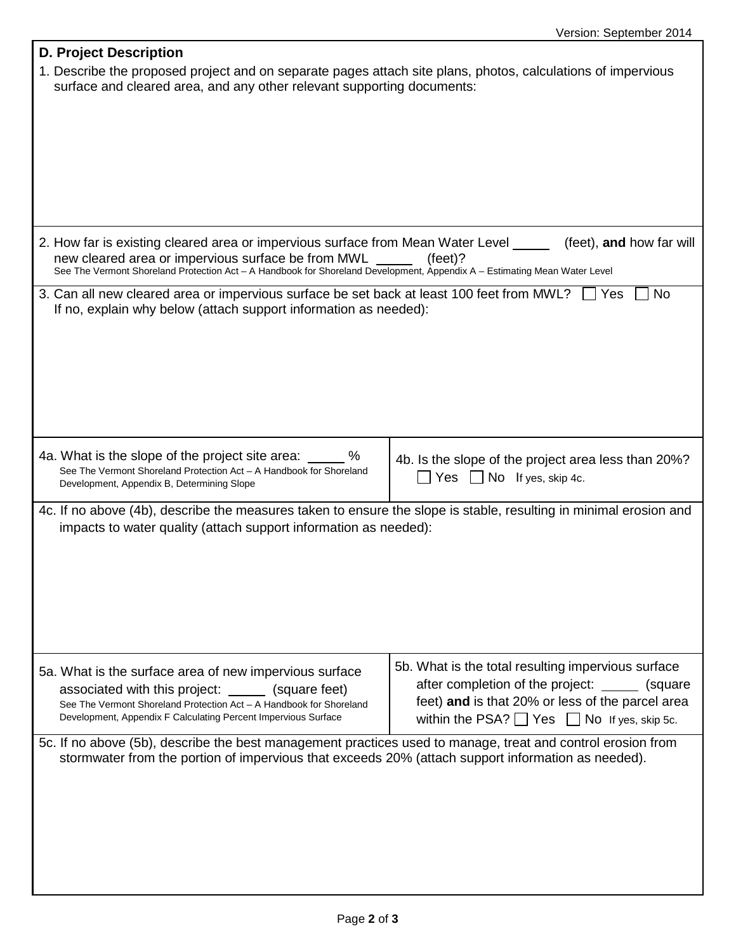| <b>D. Project Description</b>                                                                                                                                                                                                                                                                                      |                                                                                                           |  |  |  |  |
|--------------------------------------------------------------------------------------------------------------------------------------------------------------------------------------------------------------------------------------------------------------------------------------------------------------------|-----------------------------------------------------------------------------------------------------------|--|--|--|--|
| 1. Describe the proposed project and on separate pages attach site plans, photos, calculations of impervious<br>surface and cleared area, and any other relevant supporting documents:                                                                                                                             |                                                                                                           |  |  |  |  |
|                                                                                                                                                                                                                                                                                                                    |                                                                                                           |  |  |  |  |
|                                                                                                                                                                                                                                                                                                                    |                                                                                                           |  |  |  |  |
|                                                                                                                                                                                                                                                                                                                    |                                                                                                           |  |  |  |  |
|                                                                                                                                                                                                                                                                                                                    |                                                                                                           |  |  |  |  |
|                                                                                                                                                                                                                                                                                                                    |                                                                                                           |  |  |  |  |
|                                                                                                                                                                                                                                                                                                                    |                                                                                                           |  |  |  |  |
| 2. How far is existing cleared area or impervious surface from Mean Water Level _____<br>(feet), and how far will<br>new cleared area or impervious surface be from MWL<br>$(feet)$ ?<br>See The Vermont Shoreland Protection Act - A Handbook for Shoreland Development, Appendix A - Estimating Mean Water Level |                                                                                                           |  |  |  |  |
| 3. Can all new cleared area or impervious surface be set back at least 100 feet from MWL? $\Box$ Yes                                                                                                                                                                                                               | <b>No</b>                                                                                                 |  |  |  |  |
| If no, explain why below (attach support information as needed):                                                                                                                                                                                                                                                   |                                                                                                           |  |  |  |  |
|                                                                                                                                                                                                                                                                                                                    |                                                                                                           |  |  |  |  |
|                                                                                                                                                                                                                                                                                                                    |                                                                                                           |  |  |  |  |
|                                                                                                                                                                                                                                                                                                                    |                                                                                                           |  |  |  |  |
|                                                                                                                                                                                                                                                                                                                    |                                                                                                           |  |  |  |  |
|                                                                                                                                                                                                                                                                                                                    |                                                                                                           |  |  |  |  |
| 4a. What is the slope of the project site area: ______ %<br>See The Vermont Shoreland Protection Act - A Handbook for Shoreland                                                                                                                                                                                    | 4b. Is the slope of the project area less than 20%?<br>Yes $\Box$ No If yes, skip 4c.                     |  |  |  |  |
| Development, Appendix B, Determining Slope                                                                                                                                                                                                                                                                         |                                                                                                           |  |  |  |  |
| 4c. If no above (4b), describe the measures taken to ensure the slope is stable, resulting in minimal erosion and                                                                                                                                                                                                  |                                                                                                           |  |  |  |  |
| impacts to water quality (attach support information as needed):                                                                                                                                                                                                                                                   |                                                                                                           |  |  |  |  |
|                                                                                                                                                                                                                                                                                                                    |                                                                                                           |  |  |  |  |
|                                                                                                                                                                                                                                                                                                                    |                                                                                                           |  |  |  |  |
|                                                                                                                                                                                                                                                                                                                    |                                                                                                           |  |  |  |  |
|                                                                                                                                                                                                                                                                                                                    |                                                                                                           |  |  |  |  |
| 5a. What is the surface area of new impervious surface                                                                                                                                                                                                                                                             | 5b. What is the total resulting impervious surface                                                        |  |  |  |  |
| associated with this project: _______ (square feet)                                                                                                                                                                                                                                                                | after completion of the project:<br>(square)                                                              |  |  |  |  |
| See The Vermont Shoreland Protection Act - A Handbook for Shoreland<br>Development, Appendix F Calculating Percent Impervious Surface                                                                                                                                                                              | feet) and is that 20% or less of the parcel area<br>within the PSA? $\Box$ Yes $\Box$ No If yes, skip 5c. |  |  |  |  |
|                                                                                                                                                                                                                                                                                                                    |                                                                                                           |  |  |  |  |
| 5c. If no above (5b), describe the best management practices used to manage, treat and control erosion from<br>stormwater from the portion of impervious that exceeds 20% (attach support information as needed).                                                                                                  |                                                                                                           |  |  |  |  |
|                                                                                                                                                                                                                                                                                                                    |                                                                                                           |  |  |  |  |
|                                                                                                                                                                                                                                                                                                                    |                                                                                                           |  |  |  |  |
|                                                                                                                                                                                                                                                                                                                    |                                                                                                           |  |  |  |  |
|                                                                                                                                                                                                                                                                                                                    |                                                                                                           |  |  |  |  |
|                                                                                                                                                                                                                                                                                                                    |                                                                                                           |  |  |  |  |
|                                                                                                                                                                                                                                                                                                                    |                                                                                                           |  |  |  |  |